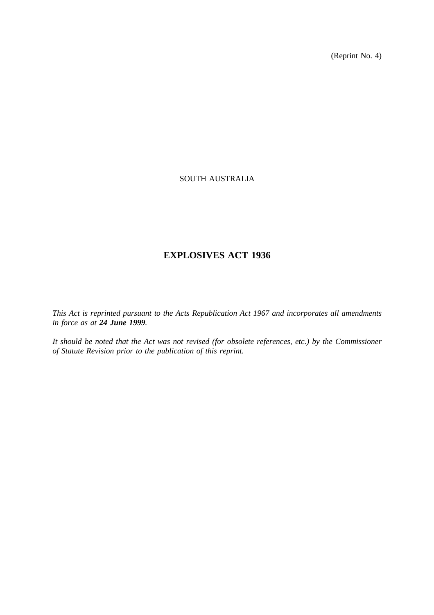(Reprint No. 4)

# SOUTH AUSTRALIA

# **EXPLOSIVES ACT 1936**

*This Act is reprinted pursuant to the Acts Republication Act 1967 and incorporates all amendments in force as at 24 June 1999.*

*It should be noted that the Act was not revised (for obsolete references, etc.) by the Commissioner of Statute Revision prior to the publication of this reprint.*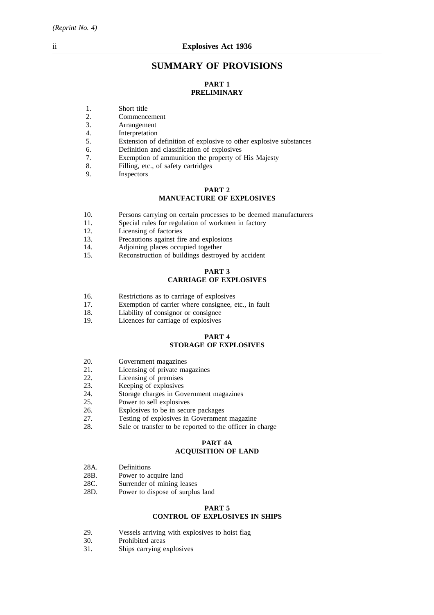# **SUMMARY OF PROVISIONS**

# **PART 1 PRELIMINARY**

- 1. Short title
- 2. Commencement
- 3. Arrangement
- 
- 4. Interpretation<br>5. Extension of Extension of definition of explosive to other explosive substances
- 6. Definition and classification of explosives
- Exemption of ammunition the property of His Majesty
- 8. Filling, etc., of safety cartridges
- 9. Inspectors

#### **PART 2 MANUFACTURE OF EXPLOSIVES**

- 10. Persons carrying on certain processes to be deemed manufacturers
- 11. Special rules for regulation of workmen in factory
- 12. Licensing of factories
- 13. Precautions against fire and explosions
- 14. Adjoining places occupied together
- 15. Reconstruction of buildings destroyed by accident

#### **PART 3 CARRIAGE OF EXPLOSIVES**

- 16. Restrictions as to carriage of explosives<br>17. Exemption of carrier where consignee.
- Exemption of carrier where consignee, etc., in fault
- 18. Liability of consignor or consignee
- 19. Licences for carriage of explosives

#### **PART 4 STORAGE OF EXPLOSIVES**

- 20. Government magazines
- 21. Licensing of private magazines
- 22. Licensing of premises
- 23. Keeping of explosives
- 24. Storage charges in Government magazines
- 25. Power to sell explosives
- 26. Explosives to be in secure packages
- 27. Testing of explosives in Government magazine<br>28. Sale or transfer to be reported to the officer in
- Sale or transfer to be reported to the officer in charge

# **PART 4A**

# **ACQUISITION OF LAND**

- 28A. Definitions
- 28B. Power to acquire land
- 28C. Surrender of mining leases
- 28D. Power to dispose of surplus land

## **PART 5 CONTROL OF EXPLOSIVES IN SHIPS**

- 29. Vessels arriving with explosives to hoist flag
- 30. Prohibited areas
- 31. Ships carrying explosives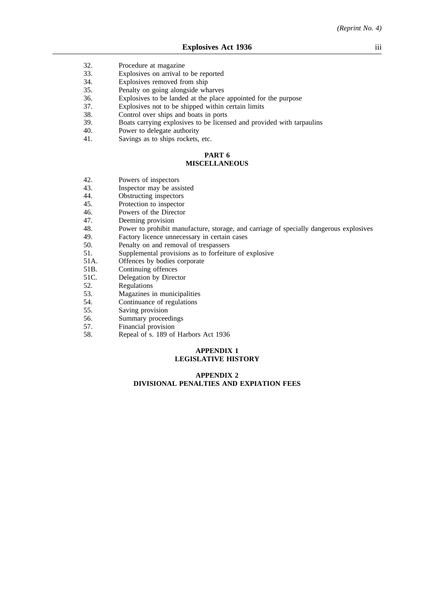- 32. Procedure at magazine
- 33. Explosives on arrival to be reported
- 34. Explosives removed from ship
- 35. Penalty on going alongside wharves
- 36. Explosives to be landed at the place appointed for the purpose
- 37. Explosives not to be shipped within certain limits
- 38. Control over ships and boats in ports
- 39. Boats carrying explosives to be licensed and provided with tarpaulins
- 40. Power to delegate authority
- 41. Savings as to ships rockets, etc.

#### **PART 6 MISCELLANEOUS**

- 42. Powers of inspectors<br>43. Inspector may be ass
- 43. Inspector may be assisted 44. Obstructing inspectors
- 44. **Obstructing inspectors**<br>45. **Protection to inspector**
- 45. Protection to inspector<br>46. Powers of the Director
- Powers of the Director
- 47. Deeming provision
- 48. Power to prohibit manufacture, storage, and carriage of specially dangerous explosives Pactory licence unnecessary in certain cases
- 49. Factory licence unnecessary in certain cases<br>50. Penalty on and removal of trespassers
- 50. Penalty on and removal of trespassers<br>51. Supplemental provisions as to forfeiture
- 51. Supplemental provisions as to forfeiture of explosive<br>51A. Offences by bodies corporate
- 51A. Offences by bodies corporate<br>51B. Continuing offences
- 51B. Continuing offences<br>51C. Delegation by Direct
- 51C. Delegation by Director<br>52 Regulations
- 52. Regulations<br>53. Magazines i
- 53. Magazines in municipalities<br>54. Continuance of regulations
- Continuance of regulations
- 55. Saving provision
- 56. Summary proceedings<br>57. Financial provision
- 57. Financial provision<br>58. Repeal of s. 189 of
- 58. Repeal of s. 189 of Harbors Act 1936

#### **APPENDIX 1 LEGISLATIVE HISTORY**

# **APPENDIX 2 DIVISIONAL PENALTIES AND EXPIATION FEES**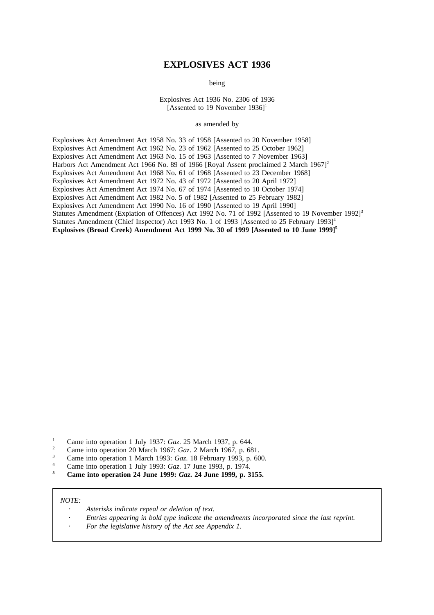# **EXPLOSIVES ACT 1936**

being

Explosives Act 1936 No. 2306 of 1936 [Assented to 19 November  $1936$ ]<sup>1</sup>

as amended by

Explosives Act Amendment Act 1958 No. 33 of 1958 [Assented to 20 November 1958] Explosives Act Amendment Act 1962 No. 23 of 1962 [Assented to 25 October 1962] Explosives Act Amendment Act 1963 No. 15 of 1963 [Assented to 7 November 1963] Harbors Act Amendment Act 1966 No. 89 of 1966 [Royal Assent proclaimed 2 March 1967]<sup>2</sup> Explosives Act Amendment Act 1968 No. 61 of 1968 [Assented to 23 December 1968] Explosives Act Amendment Act 1972 No. 43 of 1972 [Assented to 20 April 1972] Explosives Act Amendment Act 1974 No. 67 of 1974 [Assented to 10 October 1974] Explosives Act Amendment Act 1982 No. 5 of 1982 [Assented to 25 February 1982] Explosives Act Amendment Act 1990 No. 16 of 1990 [Assented to 19 April 1990] Statutes Amendment (Expiation of Offences) Act 1992 No. 71 of 1992 [Assented to 19 November 1992]<sup>3</sup> Statutes Amendment (Chief Inspector) Act 1993 No. 1 of 1993 [Assented to 25 February 1993]<sup>4</sup> **Explosives (Broad Creek) Amendment Act 1999 No. 30 of 1999 [Assented to 10 June 1999]5**

- <sup>1</sup> Came into operation 1 July 1937: *Gaz*. 25 March 1937, p. 644.
- <sup>2</sup> Came into operation 20 March 1967: *Gaz*. 2 March 1967, p. 681.
- <sup>3</sup> Came into operation 1 March 1993: *Gaz*. 18 February 1993, p. 600.
- <sup>4</sup> Came into operation 1 July 1993: *Gaz*. 17 June 1993, p. 1974.
- **<sup>5</sup> Came into operation 24 June 1999:** *Gaz***. 24 June 1999, p. 3155.**

#### *NOTE:*

- *Asterisks indicate repeal or deletion of text.*
- *Entries appearing in bold type indicate the amendments incorporated since the last reprint.*
- *For the legislative history of the Act see Appendix 1.*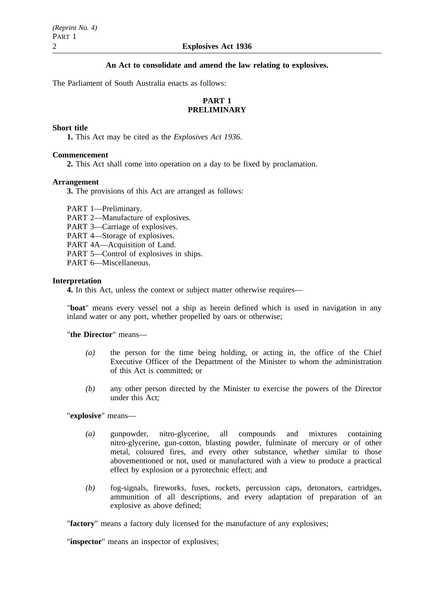# **An Act to consolidate and amend the law relating to explosives.**

The Parliament of South Australia enacts as follows:

# **PART 1 PRELIMINARY**

# **Short title**

**1.** This Act may be cited as the *Explosives Act 1936*.

## **Commencement**

**2.** This Act shall come into operation on a day to be fixed by proclamation.

#### **Arrangement**

**3.** The provisions of this Act are arranged as follows:

PART 1—Preliminary. PART 2—Manufacture of explosives. PART 3—Carriage of explosives. PART 4—Storage of explosives. PART 4A—Acquisition of Land. PART 5—Control of explosives in ships. PART 6—Miscellaneous.

#### **Interpretation**

**4.** In this Act, unless the context or subject matter otherwise requires—

"**boat**" means every vessel not a ship as herein defined which is used in navigation in any inland water or any port, whether propelled by oars or otherwise;

"**the Director**" means—

- *(a)* the person for the time being holding, or acting in, the office of the Chief Executive Officer of the Department of the Minister to whom the administration of this Act is committed; or
- *(b)* any other person directed by the Minister to exercise the powers of the Director under this Act;

"**explosive**" means—

- *(a)* gunpowder, nitro-glycerine, all compounds and mixtures containing nitro-glycerine, gun-cotton, blasting powder, fulminate of mercury or of other metal, coloured fires, and every other substance, whether similar to those abovementioned or not, used or manufactured with a view to produce a practical effect by explosion or a pyrotechnic effect; and
- *(b)* fog-signals, fireworks, fuses, rockets, percussion caps, detonators, cartridges, ammunition of all descriptions, and every adaptation of preparation of an explosive as above defined;

"**factory**" means a factory duly licensed for the manufacture of any explosives;

"**inspector**" means an inspector of explosives;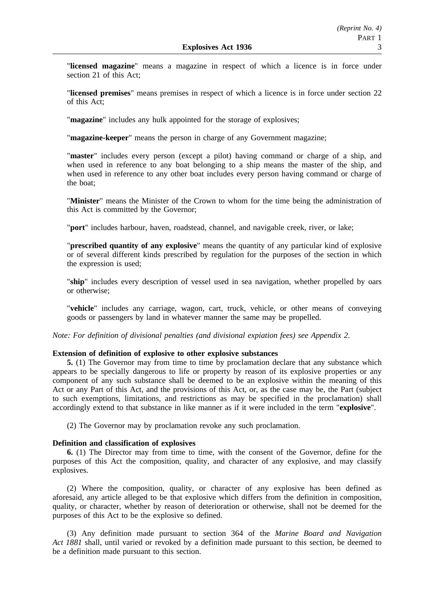"**licensed magazine**" means a magazine in respect of which a licence is in force under section 21 of this Act;

"**licensed premises**" means premises in respect of which a licence is in force under section 22 of this Act;

"**magazine**" includes any hulk appointed for the storage of explosives;

"**magazine-keeper**" means the person in charge of any Government magazine;

"**master**" includes every person (except a pilot) having command or charge of a ship, and when used in reference to any boat belonging to a ship means the master of the ship, and when used in reference to any other boat includes every person having command or charge of the boat;

"**Minister**" means the Minister of the Crown to whom for the time being the administration of this Act is committed by the Governor;

"**port**" includes harbour, haven, roadstead, channel, and navigable creek, river, or lake;

"**prescribed quantity of any explosive**" means the quantity of any particular kind of explosive or of several different kinds prescribed by regulation for the purposes of the section in which the expression is used;

"**ship**" includes every description of vessel used in sea navigation, whether propelled by oars or otherwise;

"**vehicle**" includes any carriage, wagon, cart, truck, vehicle, or other means of conveying goods or passengers by land in whatever manner the same may be propelled.

*Note: For definition of divisional penalties (and divisional expiation fees) see Appendix 2*.

# **Extension of definition of explosive to other explosive substances**

**5.** (1) The Governor may from time to time by proclamation declare that any substance which appears to be specially dangerous to life or property by reason of its explosive properties or any component of any such substance shall be deemed to be an explosive within the meaning of this Act or any Part of this Act, and the provisions of this Act, or, as the case may be, the Part (subject to such exemptions, limitations, and restrictions as may be specified in the proclamation) shall accordingly extend to that substance in like manner as if it were included in the term "**explosive**".

(2) The Governor may by proclamation revoke any such proclamation.

# **Definition and classification of explosives**

**6.** (1) The Director may from time to time, with the consent of the Governor, define for the purposes of this Act the composition, quality, and character of any explosive, and may classify explosives.

(2) Where the composition, quality, or character of any explosive has been defined as aforesaid, any article alleged to be that explosive which differs from the definition in composition, quality, or character, whether by reason of deterioration or otherwise, shall not be deemed for the purposes of this Act to be the explosive so defined.

(3) Any definition made pursuant to section 364 of the *Marine Board and Navigation Act 1881* shall, until varied or revoked by a definition made pursuant to this section, be deemed to be a definition made pursuant to this section.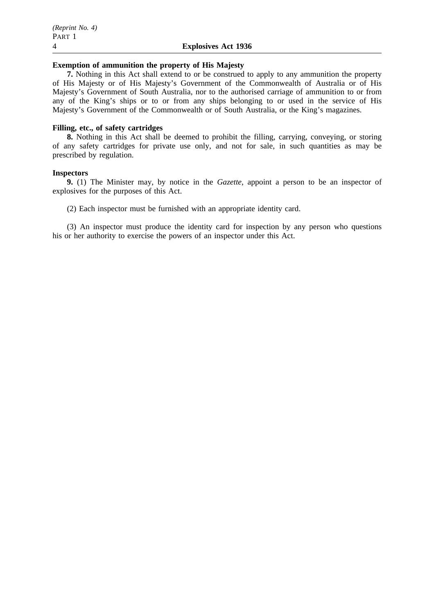#### **Exemption of ammunition the property of His Majesty**

**7.** Nothing in this Act shall extend to or be construed to apply to any ammunition the property of His Majesty or of His Majesty's Government of the Commonwealth of Australia or of His Majesty's Government of South Australia, nor to the authorised carriage of ammunition to or from any of the King's ships or to or from any ships belonging to or used in the service of His Majesty's Government of the Commonwealth or of South Australia, or the King's magazines.

# **Filling, etc., of safety cartridges**

**8.** Nothing in this Act shall be deemed to prohibit the filling, carrying, conveying, or storing of any safety cartridges for private use only, and not for sale, in such quantities as may be prescribed by regulation.

# **Inspectors**

**9.** (1) The Minister may, by notice in the *Gazette*, appoint a person to be an inspector of explosives for the purposes of this Act.

(2) Each inspector must be furnished with an appropriate identity card.

(3) An inspector must produce the identity card for inspection by any person who questions his or her authority to exercise the powers of an inspector under this Act.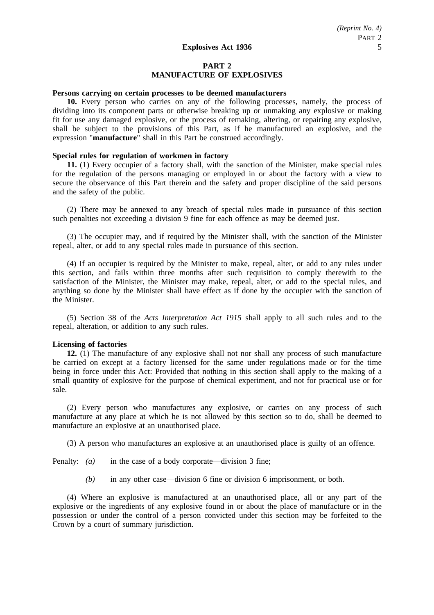# **PART 2 MANUFACTURE OF EXPLOSIVES**

#### **Persons carrying on certain processes to be deemed manufacturers**

**10.** Every person who carries on any of the following processes, namely, the process of dividing into its component parts or otherwise breaking up or unmaking any explosive or making fit for use any damaged explosive, or the process of remaking, altering, or repairing any explosive, shall be subject to the provisions of this Part, as if he manufactured an explosive, and the expression "**manufacture**" shall in this Part be construed accordingly.

#### **Special rules for regulation of workmen in factory**

**11.** (1) Every occupier of a factory shall, with the sanction of the Minister, make special rules for the regulation of the persons managing or employed in or about the factory with a view to secure the observance of this Part therein and the safety and proper discipline of the said persons and the safety of the public.

(2) There may be annexed to any breach of special rules made in pursuance of this section such penalties not exceeding a division 9 fine for each offence as may be deemed just.

(3) The occupier may, and if required by the Minister shall, with the sanction of the Minister repeal, alter, or add to any special rules made in pursuance of this section.

(4) If an occupier is required by the Minister to make, repeal, alter, or add to any rules under this section, and fails within three months after such requisition to comply therewith to the satisfaction of the Minister, the Minister may make, repeal, alter, or add to the special rules, and anything so done by the Minister shall have effect as if done by the occupier with the sanction of the Minister.

(5) Section 38 of the *Acts Interpretation Act 1915* shall apply to all such rules and to the repeal, alteration, or addition to any such rules.

# **Licensing of factories**

**12.** (1) The manufacture of any explosive shall not nor shall any process of such manufacture be carried on except at a factory licensed for the same under regulations made or for the time being in force under this Act: Provided that nothing in this section shall apply to the making of a small quantity of explosive for the purpose of chemical experiment, and not for practical use or for sale.

(2) Every person who manufactures any explosive, or carries on any process of such manufacture at any place at which he is not allowed by this section so to do, shall be deemed to manufacture an explosive at an unauthorised place.

(3) A person who manufactures an explosive at an unauthorised place is guilty of an offence.

Penalty: *(a)* in the case of a body corporate—division 3 fine;

*(b)* in any other case—division 6 fine or division 6 imprisonment, or both.

(4) Where an explosive is manufactured at an unauthorised place, all or any part of the explosive or the ingredients of any explosive found in or about the place of manufacture or in the possession or under the control of a person convicted under this section may be forfeited to the Crown by a court of summary jurisdiction.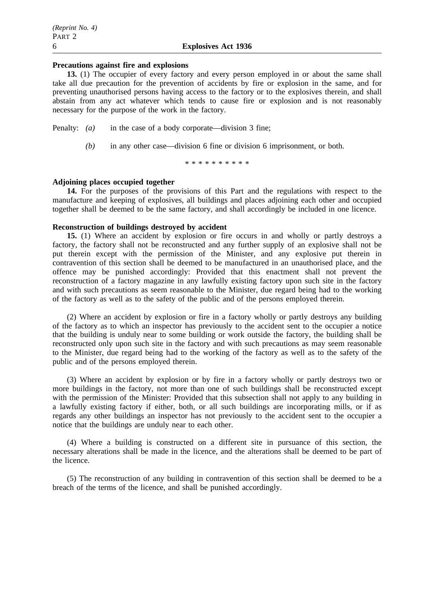### **Precautions against fire and explosions**

**13.** (1) The occupier of every factory and every person employed in or about the same shall take all due precaution for the prevention of accidents by fire or explosion in the same, and for preventing unauthorised persons having access to the factory or to the explosives therein, and shall abstain from any act whatever which tends to cause fire or explosion and is not reasonably necessary for the purpose of the work in the factory.

- Penalty: *(a)* in the case of a body corporate—division 3 fine;
	- *(b)* in any other case—division 6 fine or division 6 imprisonment, or both.

\*\*\*\*\*\*\*\*\*\*

#### **Adjoining places occupied together**

**14.** For the purposes of the provisions of this Part and the regulations with respect to the manufacture and keeping of explosives, all buildings and places adjoining each other and occupied together shall be deemed to be the same factory, and shall accordingly be included in one licence.

# **Reconstruction of buildings destroyed by accident**

**15.** (1) Where an accident by explosion or fire occurs in and wholly or partly destroys a factory, the factory shall not be reconstructed and any further supply of an explosive shall not be put therein except with the permission of the Minister, and any explosive put therein in contravention of this section shall be deemed to be manufactured in an unauthorised place, and the offence may be punished accordingly: Provided that this enactment shall not prevent the reconstruction of a factory magazine in any lawfully existing factory upon such site in the factory and with such precautions as seem reasonable to the Minister, due regard being had to the working of the factory as well as to the safety of the public and of the persons employed therein.

(2) Where an accident by explosion or fire in a factory wholly or partly destroys any building of the factory as to which an inspector has previously to the accident sent to the occupier a notice that the building is unduly near to some building or work outside the factory, the building shall be reconstructed only upon such site in the factory and with such precautions as may seem reasonable to the Minister, due regard being had to the working of the factory as well as to the safety of the public and of the persons employed therein.

(3) Where an accident by explosion or by fire in a factory wholly or partly destroys two or more buildings in the factory, not more than one of such buildings shall be reconstructed except with the permission of the Minister: Provided that this subsection shall not apply to any building in a lawfully existing factory if either, both, or all such buildings are incorporating mills, or if as regards any other buildings an inspector has not previously to the accident sent to the occupier a notice that the buildings are unduly near to each other.

(4) Where a building is constructed on a different site in pursuance of this section, the necessary alterations shall be made in the licence, and the alterations shall be deemed to be part of the licence.

(5) The reconstruction of any building in contravention of this section shall be deemed to be a breach of the terms of the licence, and shall be punished accordingly.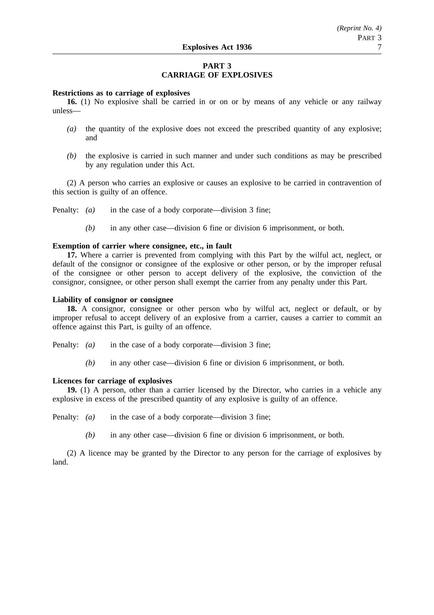# **PART 3 CARRIAGE OF EXPLOSIVES**

## **Restrictions as to carriage of explosives**

**16.** (1) No explosive shall be carried in or on or by means of any vehicle or any railway unless—

- *(a)* the quantity of the explosive does not exceed the prescribed quantity of any explosive; and
- *(b)* the explosive is carried in such manner and under such conditions as may be prescribed by any regulation under this Act.

(2) A person who carries an explosive or causes an explosive to be carried in contravention of this section is guilty of an offence.

Penalty: *(a)* in the case of a body corporate—division 3 fine;

*(b)* in any other case—division 6 fine or division 6 imprisonment, or both.

#### **Exemption of carrier where consignee, etc., in fault**

**17.** Where a carrier is prevented from complying with this Part by the wilful act, neglect, or default of the consignor or consignee of the explosive or other person, or by the improper refusal of the consignee or other person to accept delivery of the explosive, the conviction of the consignor, consignee, or other person shall exempt the carrier from any penalty under this Part.

# **Liability of consignor or consignee**

**18.** A consignor, consignee or other person who by wilful act, neglect or default, or by improper refusal to accept delivery of an explosive from a carrier, causes a carrier to commit an offence against this Part, is guilty of an offence.

Penalty: *(a)* in the case of a body corporate—division 3 fine;

*(b)* in any other case—division 6 fine or division 6 imprisonment, or both.

#### **Licences for carriage of explosives**

**19.** (1) A person, other than a carrier licensed by the Director, who carries in a vehicle any explosive in excess of the prescribed quantity of any explosive is guilty of an offence.

Penalty: *(a)* in the case of a body corporate—division 3 fine;

*(b)* in any other case—division 6 fine or division 6 imprisonment, or both.

(2) A licence may be granted by the Director to any person for the carriage of explosives by land.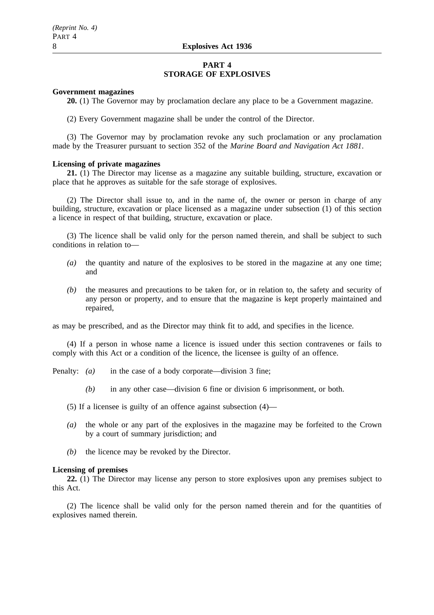# **PART 4 STORAGE OF EXPLOSIVES**

#### **Government magazines**

**20.** (1) The Governor may by proclamation declare any place to be a Government magazine.

(2) Every Government magazine shall be under the control of the Director.

(3) The Governor may by proclamation revoke any such proclamation or any proclamation made by the Treasurer pursuant to section 352 of the *Marine Board and Navigation Act 1881*.

#### **Licensing of private magazines**

**21.** (1) The Director may license as a magazine any suitable building, structure, excavation or place that he approves as suitable for the safe storage of explosives.

(2) The Director shall issue to, and in the name of, the owner or person in charge of any building, structure, excavation or place licensed as a magazine under subsection (1) of this section a licence in respect of that building, structure, excavation or place.

(3) The licence shall be valid only for the person named therein, and shall be subject to such conditions in relation to—

- *(a)* the quantity and nature of the explosives to be stored in the magazine at any one time; and
- *(b)* the measures and precautions to be taken for, or in relation to, the safety and security of any person or property, and to ensure that the magazine is kept properly maintained and repaired,

as may be prescribed, and as the Director may think fit to add, and specifies in the licence.

(4) If a person in whose name a licence is issued under this section contravenes or fails to comply with this Act or a condition of the licence, the licensee is guilty of an offence.

Penalty: *(a)* in the case of a body corporate—division 3 fine;

- *(b)* in any other case—division 6 fine or division 6 imprisonment, or both.
- (5) If a licensee is guilty of an offence against subsection (4)—
- *(a)* the whole or any part of the explosives in the magazine may be forfeited to the Crown by a court of summary jurisdiction; and
- *(b)* the licence may be revoked by the Director.

#### **Licensing of premises**

**22.** (1) The Director may license any person to store explosives upon any premises subject to this Act.

(2) The licence shall be valid only for the person named therein and for the quantities of explosives named therein.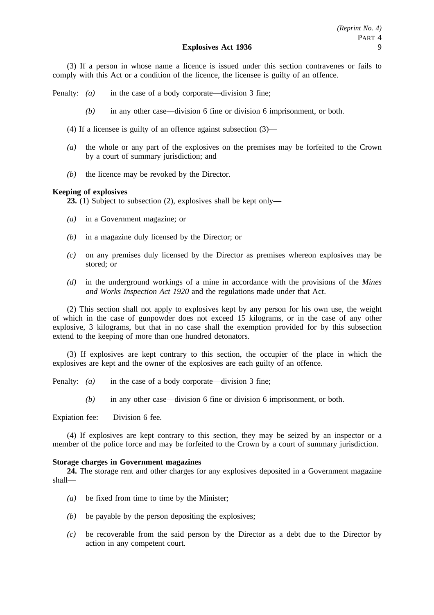(3) If a person in whose name a licence is issued under this section contravenes or fails to comply with this Act or a condition of the licence, the licensee is guilty of an offence.

Penalty: *(a)* in the case of a body corporate—division 3 fine;

*(b)* in any other case—division 6 fine or division 6 imprisonment, or both.

(4) If a licensee is guilty of an offence against subsection (3)—

- *(a)* the whole or any part of the explosives on the premises may be forfeited to the Crown by a court of summary jurisdiction; and
- *(b)* the licence may be revoked by the Director.

# **Keeping of explosives**

**23.** (1) Subject to subsection (2), explosives shall be kept only—

- *(a)* in a Government magazine; or
- *(b)* in a magazine duly licensed by the Director; or
- *(c)* on any premises duly licensed by the Director as premises whereon explosives may be stored; or
- *(d)* in the underground workings of a mine in accordance with the provisions of the *Mines and Works Inspection Act 1920* and the regulations made under that Act.

(2) This section shall not apply to explosives kept by any person for his own use, the weight of which in the case of gunpowder does not exceed 15 kilograms, or in the case of any other explosive, 3 kilograms, but that in no case shall the exemption provided for by this subsection extend to the keeping of more than one hundred detonators.

(3) If explosives are kept contrary to this section, the occupier of the place in which the explosives are kept and the owner of the explosives are each guilty of an offence.

Penalty: *(a)* in the case of a body corporate—division 3 fine;

*(b)* in any other case—division 6 fine or division 6 imprisonment, or both.

Expiation fee: Division 6 fee.

(4) If explosives are kept contrary to this section, they may be seized by an inspector or a member of the police force and may be forfeited to the Crown by a court of summary jurisdiction.

# **Storage charges in Government magazines**

**24.** The storage rent and other charges for any explosives deposited in a Government magazine shall—

- *(a)* be fixed from time to time by the Minister;
- *(b)* be payable by the person depositing the explosives;
- *(c)* be recoverable from the said person by the Director as a debt due to the Director by action in any competent court.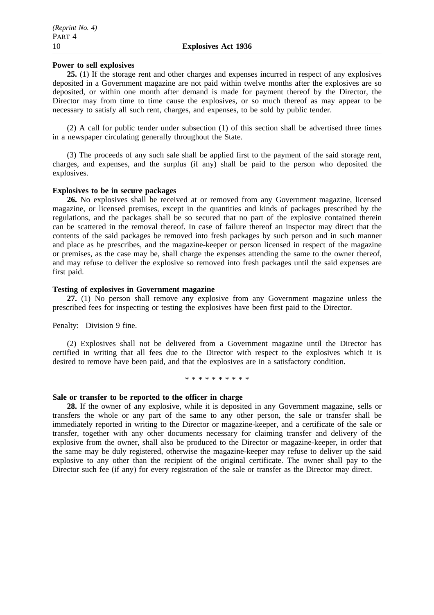# **Power to sell explosives**

**25.** (1) If the storage rent and other charges and expenses incurred in respect of any explosives deposited in a Government magazine are not paid within twelve months after the explosives are so deposited, or within one month after demand is made for payment thereof by the Director, the Director may from time to time cause the explosives, or so much thereof as may appear to be necessary to satisfy all such rent, charges, and expenses, to be sold by public tender.

(2) A call for public tender under subsection (1) of this section shall be advertised three times in a newspaper circulating generally throughout the State.

(3) The proceeds of any such sale shall be applied first to the payment of the said storage rent, charges, and expenses, and the surplus (if any) shall be paid to the person who deposited the explosives.

## **Explosives to be in secure packages**

**26.** No explosives shall be received at or removed from any Government magazine, licensed magazine, or licensed premises, except in the quantities and kinds of packages prescribed by the regulations, and the packages shall be so secured that no part of the explosive contained therein can be scattered in the removal thereof. In case of failure thereof an inspector may direct that the contents of the said packages be removed into fresh packages by such person and in such manner and place as he prescribes, and the magazine-keeper or person licensed in respect of the magazine or premises, as the case may be, shall charge the expenses attending the same to the owner thereof, and may refuse to deliver the explosive so removed into fresh packages until the said expenses are first paid.

## **Testing of explosives in Government magazine**

**27.** (1) No person shall remove any explosive from any Government magazine unless the prescribed fees for inspecting or testing the explosives have been first paid to the Director.

# Penalty: Division 9 fine.

(2) Explosives shall not be delivered from a Government magazine until the Director has certified in writing that all fees due to the Director with respect to the explosives which it is desired to remove have been paid, and that the explosives are in a satisfactory condition.

\*\*\*\*\*\*\*\*\*\*

# **Sale or transfer to be reported to the officer in charge**

**28.** If the owner of any explosive, while it is deposited in any Government magazine, sells or transfers the whole or any part of the same to any other person, the sale or transfer shall be immediately reported in writing to the Director or magazine-keeper, and a certificate of the sale or transfer, together with any other documents necessary for claiming transfer and delivery of the explosive from the owner, shall also be produced to the Director or magazine-keeper, in order that the same may be duly registered, otherwise the magazine-keeper may refuse to deliver up the said explosive to any other than the recipient of the original certificate. The owner shall pay to the Director such fee (if any) for every registration of the sale or transfer as the Director may direct.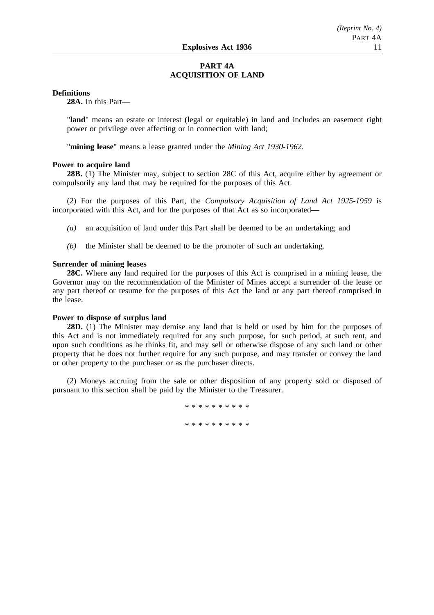# **PART 4A ACQUISITION OF LAND**

# **Definitions**

**28A.** In this Part—

"**land**" means an estate or interest (legal or equitable) in land and includes an easement right power or privilege over affecting or in connection with land;

"**mining lease**" means a lease granted under the *Mining Act 1930-1962*.

#### **Power to acquire land**

**28B.** (1) The Minister may, subject to section 28C of this Act, acquire either by agreement or compulsorily any land that may be required for the purposes of this Act.

(2) For the purposes of this Part, the *Compulsory Acquisition of Land Act 1925-1959* is incorporated with this Act, and for the purposes of that Act as so incorporated—

*(a)* an acquisition of land under this Part shall be deemed to be an undertaking; and

*(b)* the Minister shall be deemed to be the promoter of such an undertaking.

#### **Surrender of mining leases**

**28C.** Where any land required for the purposes of this Act is comprised in a mining lease, the Governor may on the recommendation of the Minister of Mines accept a surrender of the lease or any part thereof or resume for the purposes of this Act the land or any part thereof comprised in the lease.

# **Power to dispose of surplus land**

**28D.** (1) The Minister may demise any land that is held or used by him for the purposes of this Act and is not immediately required for any such purpose, for such period, at such rent, and upon such conditions as he thinks fit, and may sell or otherwise dispose of any such land or other property that he does not further require for any such purpose, and may transfer or convey the land or other property to the purchaser or as the purchaser directs.

(2) Moneys accruing from the sale or other disposition of any property sold or disposed of pursuant to this section shall be paid by the Minister to the Treasurer.

\*\*\*\*\*\*\*\*\*\*\*\*\*\*\*\*

\*\*\*\*\*\*\*\*\*\*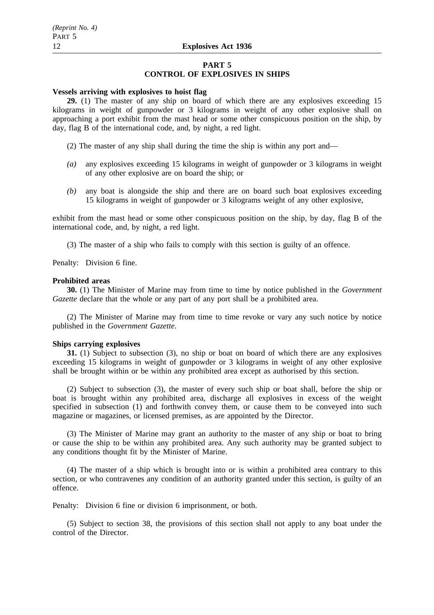## **PART 5 CONTROL OF EXPLOSIVES IN SHIPS**

#### **Vessels arriving with explosives to hoist flag**

**29.** (1) The master of any ship on board of which there are any explosives exceeding 15 kilograms in weight of gunpowder or 3 kilograms in weight of any other explosive shall on approaching a port exhibit from the mast head or some other conspicuous position on the ship, by day, flag B of the international code, and, by night, a red light.

- (2) The master of any ship shall during the time the ship is within any port and—
- *(a)* any explosives exceeding 15 kilograms in weight of gunpowder or 3 kilograms in weight of any other explosive are on board the ship; or
- *(b)* any boat is alongside the ship and there are on board such boat explosives exceeding 15 kilograms in weight of gunpowder or 3 kilograms weight of any other explosive,

exhibit from the mast head or some other conspicuous position on the ship, by day, flag B of the international code, and, by night, a red light.

(3) The master of a ship who fails to comply with this section is guilty of an offence.

Penalty: Division 6 fine.

#### **Prohibited areas**

**30.** (1) The Minister of Marine may from time to time by notice published in the *Government Gazette* declare that the whole or any part of any port shall be a prohibited area.

(2) The Minister of Marine may from time to time revoke or vary any such notice by notice published in the *Government Gazette*.

#### **Ships carrying explosives**

**31.** (1) Subject to subsection (3), no ship or boat on board of which there are any explosives exceeding 15 kilograms in weight of gunpowder or 3 kilograms in weight of any other explosive shall be brought within or be within any prohibited area except as authorised by this section.

(2) Subject to subsection (3), the master of every such ship or boat shall, before the ship or boat is brought within any prohibited area, discharge all explosives in excess of the weight specified in subsection (1) and forthwith convey them, or cause them to be conveyed into such magazine or magazines, or licensed premises, as are appointed by the Director.

(3) The Minister of Marine may grant an authority to the master of any ship or boat to bring or cause the ship to be within any prohibited area. Any such authority may be granted subject to any conditions thought fit by the Minister of Marine.

(4) The master of a ship which is brought into or is within a prohibited area contrary to this section, or who contravenes any condition of an authority granted under this section, is guilty of an offence.

Penalty: Division 6 fine or division 6 imprisonment, or both.

(5) Subject to section 38, the provisions of this section shall not apply to any boat under the control of the Director.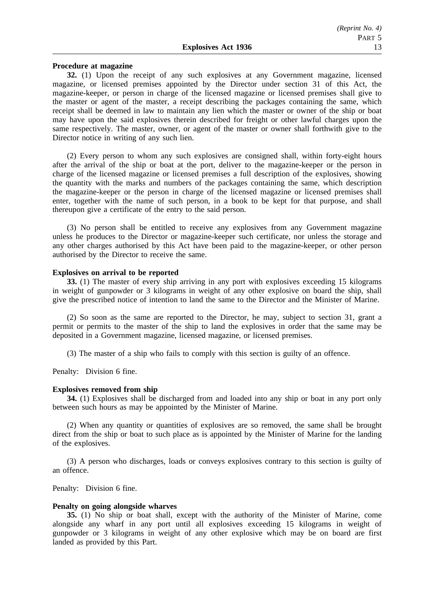#### **Procedure at magazine**

**32.** (1) Upon the receipt of any such explosives at any Government magazine, licensed magazine, or licensed premises appointed by the Director under section 31 of this Act, the magazine-keeper, or person in charge of the licensed magazine or licensed premises shall give to the master or agent of the master, a receipt describing the packages containing the same, which receipt shall be deemed in law to maintain any lien which the master or owner of the ship or boat may have upon the said explosives therein described for freight or other lawful charges upon the same respectively. The master, owner, or agent of the master or owner shall forthwith give to the Director notice in writing of any such lien.

(2) Every person to whom any such explosives are consigned shall, within forty-eight hours after the arrival of the ship or boat at the port, deliver to the magazine-keeper or the person in charge of the licensed magazine or licensed premises a full description of the explosives, showing the quantity with the marks and numbers of the packages containing the same, which description the magazine-keeper or the person in charge of the licensed magazine or licensed premises shall enter, together with the name of such person, in a book to be kept for that purpose, and shall thereupon give a certificate of the entry to the said person.

(3) No person shall be entitled to receive any explosives from any Government magazine unless he produces to the Director or magazine-keeper such certificate, nor unless the storage and any other charges authorised by this Act have been paid to the magazine-keeper, or other person authorised by the Director to receive the same.

#### **Explosives on arrival to be reported**

**33.** (1) The master of every ship arriving in any port with explosives exceeding 15 kilograms in weight of gunpowder or 3 kilograms in weight of any other explosive on board the ship, shall give the prescribed notice of intention to land the same to the Director and the Minister of Marine.

(2) So soon as the same are reported to the Director, he may, subject to section 31, grant a permit or permits to the master of the ship to land the explosives in order that the same may be deposited in a Government magazine, licensed magazine, or licensed premises.

(3) The master of a ship who fails to comply with this section is guilty of an offence.

Penalty: Division 6 fine.

#### **Explosives removed from ship**

**34.** (1) Explosives shall be discharged from and loaded into any ship or boat in any port only between such hours as may be appointed by the Minister of Marine.

(2) When any quantity or quantities of explosives are so removed, the same shall be brought direct from the ship or boat to such place as is appointed by the Minister of Marine for the landing of the explosives.

(3) A person who discharges, loads or conveys explosives contrary to this section is guilty of an offence.

Penalty: Division 6 fine.

#### **Penalty on going alongside wharves**

**35.** (1) No ship or boat shall, except with the authority of the Minister of Marine, come alongside any wharf in any port until all explosives exceeding 15 kilograms in weight of gunpowder or 3 kilograms in weight of any other explosive which may be on board are first landed as provided by this Part.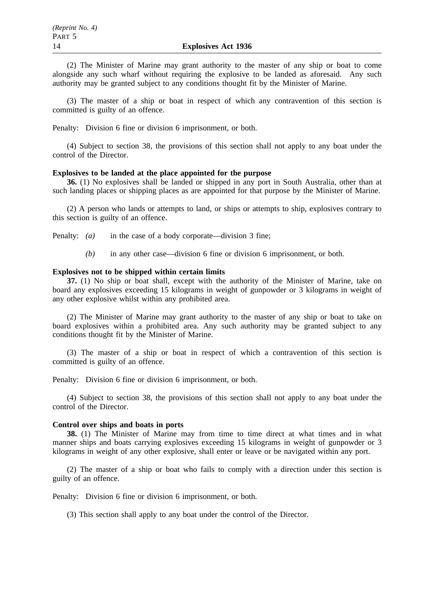(2) The Minister of Marine may grant authority to the master of any ship or boat to come alongside any such wharf without requiring the explosive to be landed as aforesaid. Any such authority may be granted subject to any conditions thought fit by the Minister of Marine.

(3) The master of a ship or boat in respect of which any contravention of this section is committed is guilty of an offence.

Penalty: Division 6 fine or division 6 imprisonment, or both.

(4) Subject to section 38, the provisions of this section shall not apply to any boat under the control of the Director.

# **Explosives to be landed at the place appointed for the purpose**

**36.** (1) No explosives shall be landed or shipped in any port in South Australia, other than at such landing places or shipping places as are appointed for that purpose by the Minister of Marine.

(2) A person who lands or attempts to land, or ships or attempts to ship, explosives contrary to this section is guilty of an offence.

Penalty: *(a)* in the case of a body corporate—division 3 fine;

*(b)* in any other case—division 6 fine or division 6 imprisonment, or both.

### **Explosives not to be shipped within certain limits**

**37.** (1) No ship or boat shall, except with the authority of the Minister of Marine, take on board any explosives exceeding 15 kilograms in weight of gunpowder or 3 kilograms in weight of any other explosive whilst within any prohibited area.

(2) The Minister of Marine may grant authority to the master of any ship or boat to take on board explosives within a prohibited area. Any such authority may be granted subject to any conditions thought fit by the Minister of Marine.

(3) The master of a ship or boat in respect of which a contravention of this section is committed is guilty of an offence.

Penalty: Division 6 fine or division 6 imprisonment, or both.

(4) Subject to section 38, the provisions of this section shall not apply to any boat under the control of the Director.

#### **Control over ships and boats in ports**

**38.** (1) The Minister of Marine may from time to time direct at what times and in what manner ships and boats carrying explosives exceeding 15 kilograms in weight of gunpowder or 3 kilograms in weight of any other explosive, shall enter or leave or be navigated within any port.

(2) The master of a ship or boat who fails to comply with a direction under this section is guilty of an offence.

Penalty: Division 6 fine or division 6 imprisonment, or both.

(3) This section shall apply to any boat under the control of the Director.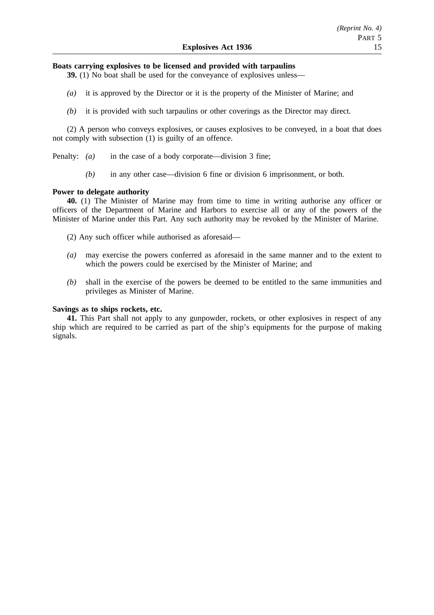# **Boats carrying explosives to be licensed and provided with tarpaulins**

**39.** (1) No boat shall be used for the conveyance of explosives unless—

- *(a)* it is approved by the Director or it is the property of the Minister of Marine; and
- *(b)* it is provided with such tarpaulins or other coverings as the Director may direct.

(2) A person who conveys explosives, or causes explosives to be conveyed, in a boat that does not comply with subsection (1) is guilty of an offence.

Penalty: *(a)* in the case of a body corporate—division 3 fine;

*(b)* in any other case—division 6 fine or division 6 imprisonment, or both.

# **Power to delegate authority**

**40.** (1) The Minister of Marine may from time to time in writing authorise any officer or officers of the Department of Marine and Harbors to exercise all or any of the powers of the Minister of Marine under this Part. Any such authority may be revoked by the Minister of Marine.

- (2) Any such officer while authorised as aforesaid—
- *(a)* may exercise the powers conferred as aforesaid in the same manner and to the extent to which the powers could be exercised by the Minister of Marine; and
- *(b)* shall in the exercise of the powers be deemed to be entitled to the same immunities and privileges as Minister of Marine.

# **Savings as to ships rockets, etc.**

**41.** This Part shall not apply to any gunpowder, rockets, or other explosives in respect of any ship which are required to be carried as part of the ship's equipments for the purpose of making signals.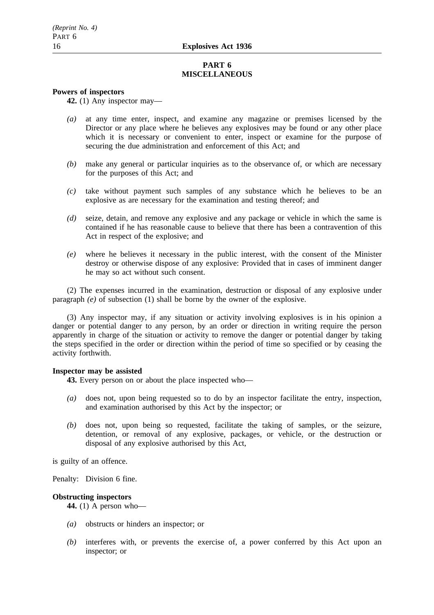# **PART 6 MISCELLANEOUS**

# **Powers of inspectors**

**42.** (1) Any inspector may—

- *(a)* at any time enter, inspect, and examine any magazine or premises licensed by the Director or any place where he believes any explosives may be found or any other place which it is necessary or convenient to enter, inspect or examine for the purpose of securing the due administration and enforcement of this Act; and
- *(b)* make any general or particular inquiries as to the observance of, or which are necessary for the purposes of this Act; and
- *(c)* take without payment such samples of any substance which he believes to be an explosive as are necessary for the examination and testing thereof; and
- *(d)* seize, detain, and remove any explosive and any package or vehicle in which the same is contained if he has reasonable cause to believe that there has been a contravention of this Act in respect of the explosive; and
- *(e)* where he believes it necessary in the public interest, with the consent of the Minister destroy or otherwise dispose of any explosive: Provided that in cases of imminent danger he may so act without such consent.

(2) The expenses incurred in the examination, destruction or disposal of any explosive under paragraph *(e)* of subsection (1) shall be borne by the owner of the explosive.

(3) Any inspector may, if any situation or activity involving explosives is in his opinion a danger or potential danger to any person, by an order or direction in writing require the person apparently in charge of the situation or activity to remove the danger or potential danger by taking the steps specified in the order or direction within the period of time so specified or by ceasing the activity forthwith.

# **Inspector may be assisted**

**43.** Every person on or about the place inspected who—

- *(a)* does not, upon being requested so to do by an inspector facilitate the entry, inspection, and examination authorised by this Act by the inspector; or
- *(b)* does not, upon being so requested, facilitate the taking of samples, or the seizure, detention, or removal of any explosive, packages, or vehicle, or the destruction or disposal of any explosive authorised by this Act,

is guilty of an offence.

Penalty: Division 6 fine.

# **Obstructing inspectors**

**44.** (1) A person who—

- *(a)* obstructs or hinders an inspector; or
- *(b)* interferes with, or prevents the exercise of, a power conferred by this Act upon an inspector; or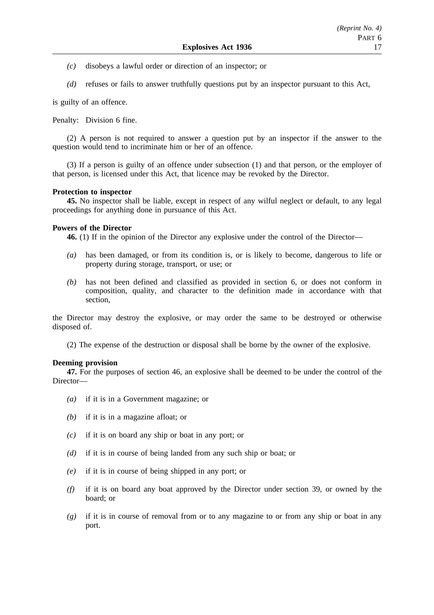- *(c)* disobeys a lawful order or direction of an inspector; or
- *(d)* refuses or fails to answer truthfully questions put by an inspector pursuant to this Act,

is guilty of an offence.

Penalty: Division 6 fine.

(2) A person is not required to answer a question put by an inspector if the answer to the question would tend to incriminate him or her of an offence.

(3) If a person is guilty of an offence under subsection (1) and that person, or the employer of that person, is licensed under this Act, that licence may be revoked by the Director.

# **Protection to inspector**

**45.** No inspector shall be liable, except in respect of any wilful neglect or default, to any legal proceedings for anything done in pursuance of this Act.

# **Powers of the Director**

**46.** (1) If in the opinion of the Director any explosive under the control of the Director—

- *(a)* has been damaged, or from its condition is, or is likely to become, dangerous to life or property during storage, transport, or use; or
- *(b)* has not been defined and classified as provided in section 6, or does not conform in composition, quality, and character to the definition made in accordance with that section,

the Director may destroy the explosive, or may order the same to be destroyed or otherwise disposed of.

(2) The expense of the destruction or disposal shall be borne by the owner of the explosive.

# **Deeming provision**

**47.** For the purposes of section 46, an explosive shall be deemed to be under the control of the Director—

- *(a)* if it is in a Government magazine; or
- *(b)* if it is in a magazine afloat; or
- *(c)* if it is on board any ship or boat in any port; or
- *(d)* if it is in course of being landed from any such ship or boat; or
- *(e)* if it is in course of being shipped in any port; or
- *(f)* if it is on board any boat approved by the Director under section 39, or owned by the board; or
- *(g)* if it is in course of removal from or to any magazine to or from any ship or boat in any port.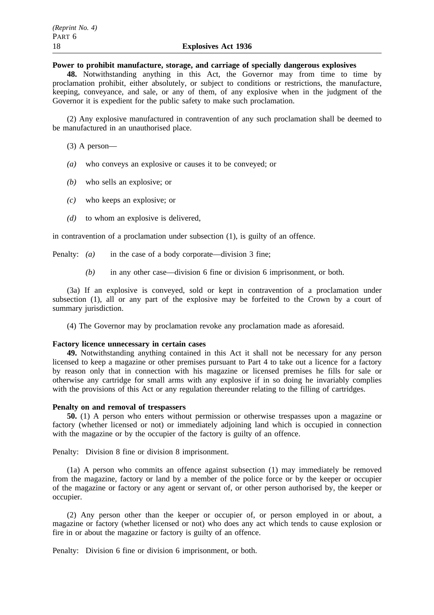# **Power to prohibit manufacture, storage, and carriage of specially dangerous explosives**

**48.** Notwithstanding anything in this Act, the Governor may from time to time by proclamation prohibit, either absolutely, or subject to conditions or restrictions, the manufacture, keeping, conveyance, and sale, or any of them, of any explosive when in the judgment of the Governor it is expedient for the public safety to make such proclamation.

(2) Any explosive manufactured in contravention of any such proclamation shall be deemed to be manufactured in an unauthorised place.

(3) A person—

- *(a)* who conveys an explosive or causes it to be conveyed; or
- *(b)* who sells an explosive; or
- *(c)* who keeps an explosive; or
- *(d)* to whom an explosive is delivered,

in contravention of a proclamation under subsection (1), is guilty of an offence.

Penalty: *(a)* in the case of a body corporate—division 3 fine;

*(b)* in any other case—division 6 fine or division 6 imprisonment, or both.

(3a) If an explosive is conveyed, sold or kept in contravention of a proclamation under subsection (1), all or any part of the explosive may be forfeited to the Crown by a court of summary jurisdiction.

(4) The Governor may by proclamation revoke any proclamation made as aforesaid.

### **Factory licence unnecessary in certain cases**

**49.** Notwithstanding anything contained in this Act it shall not be necessary for any person licensed to keep a magazine or other premises pursuant to Part 4 to take out a licence for a factory by reason only that in connection with his magazine or licensed premises he fills for sale or otherwise any cartridge for small arms with any explosive if in so doing he invariably complies with the provisions of this Act or any regulation thereunder relating to the filling of cartridges.

# **Penalty on and removal of trespassers**

**50.** (1) A person who enters without permission or otherwise trespasses upon a magazine or factory (whether licensed or not) or immediately adjoining land which is occupied in connection with the magazine or by the occupier of the factory is guilty of an offence.

Penalty: Division 8 fine or division 8 imprisonment.

(1a) A person who commits an offence against subsection (1) may immediately be removed from the magazine, factory or land by a member of the police force or by the keeper or occupier of the magazine or factory or any agent or servant of, or other person authorised by, the keeper or occupier.

(2) Any person other than the keeper or occupier of, or person employed in or about, a magazine or factory (whether licensed or not) who does any act which tends to cause explosion or fire in or about the magazine or factory is guilty of an offence.

Penalty: Division 6 fine or division 6 imprisonment, or both.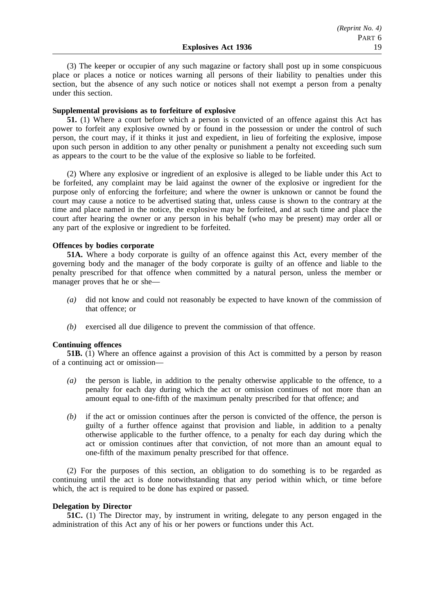(3) The keeper or occupier of any such magazine or factory shall post up in some conspicuous place or places a notice or notices warning all persons of their liability to penalties under this section, but the absence of any such notice or notices shall not exempt a person from a penalty under this section.

#### **Supplemental provisions as to forfeiture of explosive**

**51.** (1) Where a court before which a person is convicted of an offence against this Act has power to forfeit any explosive owned by or found in the possession or under the control of such person, the court may, if it thinks it just and expedient, in lieu of forfeiting the explosive, impose upon such person in addition to any other penalty or punishment a penalty not exceeding such sum as appears to the court to be the value of the explosive so liable to be forfeited.

(2) Where any explosive or ingredient of an explosive is alleged to be liable under this Act to be forfeited, any complaint may be laid against the owner of the explosive or ingredient for the purpose only of enforcing the forfeiture; and where the owner is unknown or cannot be found the court may cause a notice to be advertised stating that, unless cause is shown to the contrary at the time and place named in the notice, the explosive may be forfeited, and at such time and place the court after hearing the owner or any person in his behalf (who may be present) may order all or any part of the explosive or ingredient to be forfeited.

#### **Offences by bodies corporate**

**51A.** Where a body corporate is guilty of an offence against this Act, every member of the governing body and the manager of the body corporate is guilty of an offence and liable to the penalty prescribed for that offence when committed by a natural person, unless the member or manager proves that he or she—

- *(a)* did not know and could not reasonably be expected to have known of the commission of that offence; or
- *(b)* exercised all due diligence to prevent the commission of that offence.

#### **Continuing offences**

**51B.** (1) Where an offence against a provision of this Act is committed by a person by reason of a continuing act or omission—

- *(a)* the person is liable, in addition to the penalty otherwise applicable to the offence, to a penalty for each day during which the act or omission continues of not more than an amount equal to one-fifth of the maximum penalty prescribed for that offence; and
- *(b)* if the act or omission continues after the person is convicted of the offence, the person is guilty of a further offence against that provision and liable, in addition to a penalty otherwise applicable to the further offence, to a penalty for each day during which the act or omission continues after that conviction, of not more than an amount equal to one-fifth of the maximum penalty prescribed for that offence.

(2) For the purposes of this section, an obligation to do something is to be regarded as continuing until the act is done notwithstanding that any period within which, or time before which, the act is required to be done has expired or passed.

## **Delegation by Director**

**51C.** (1) The Director may, by instrument in writing, delegate to any person engaged in the administration of this Act any of his or her powers or functions under this Act.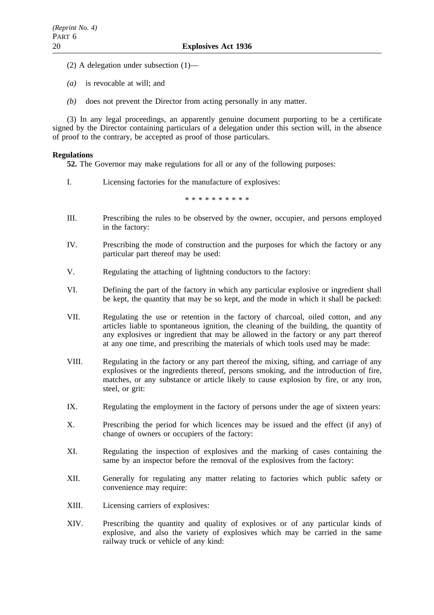- (2) A delegation under subsection (1)—
- *(a)* is revocable at will; and
- *(b)* does not prevent the Director from acting personally in any matter.

(3) In any legal proceedings, an apparently genuine document purporting to be a certificate signed by the Director containing particulars of a delegation under this section will, in the absence of proof to the contrary, be accepted as proof of those particulars.

# **Regulations**

**52.** The Governor may make regulations for all or any of the following purposes:

I. Licensing factories for the manufacture of explosives:

\*\*\*\*\*\*\*\*\*\*

- III. Prescribing the rules to be observed by the owner, occupier, and persons employed in the factory:
- IV. Prescribing the mode of construction and the purposes for which the factory or any particular part thereof may be used:
- V. Regulating the attaching of lightning conductors to the factory:
- VI. Defining the part of the factory in which any particular explosive or ingredient shall be kept, the quantity that may be so kept, and the mode in which it shall be packed:
- VII. Regulating the use or retention in the factory of charcoal, oiled cotton, and any articles liable to spontaneous ignition, the cleaning of the building, the quantity of any explosives or ingredient that may be allowed in the factory or any part thereof at any one time, and prescribing the materials of which tools used may be made:
- VIII. Regulating in the factory or any part thereof the mixing, sifting, and carriage of any explosives or the ingredients thereof, persons smoking, and the introduction of fire, matches, or any substance or article likely to cause explosion by fire, or any iron, steel, or grit:
- IX. Regulating the employment in the factory of persons under the age of sixteen years:
- X. Prescribing the period for which licences may be issued and the effect (if any) of change of owners or occupiers of the factory:
- XI. Regulating the inspection of explosives and the marking of cases containing the same by an inspector before the removal of the explosives from the factory:
- XII. Generally for regulating any matter relating to factories which public safety or convenience may require:
- XIII. Licensing carriers of explosives:
- XIV. Prescribing the quantity and quality of explosives or of any particular kinds of explosive, and also the variety of explosives which may be carried in the same railway truck or vehicle of any kind: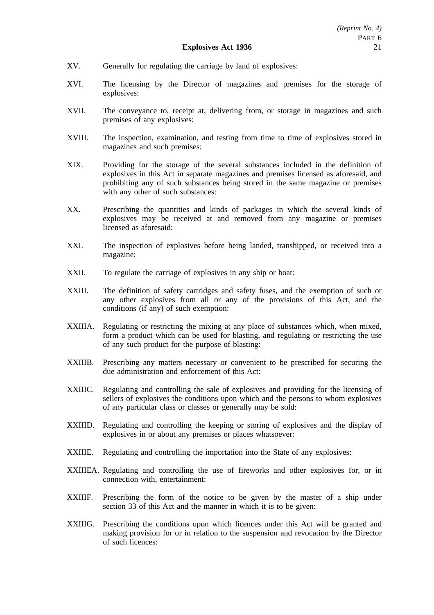- XV. Generally for regulating the carriage by land of explosives:
- XVI. The licensing by the Director of magazines and premises for the storage of explosives:
- XVII. The conveyance to, receipt at, delivering from, or storage in magazines and such premises of any explosives:
- XVIII. The inspection, examination, and testing from time to time of explosives stored in magazines and such premises:
- XIX. Providing for the storage of the several substances included in the definition of explosives in this Act in separate magazines and premises licensed as aforesaid, and prohibiting any of such substances being stored in the same magazine or premises with any other of such substances:
- XX. Prescribing the quantities and kinds of packages in which the several kinds of explosives may be received at and removed from any magazine or premises licensed as aforesaid:
- XXI. The inspection of explosives before being landed, transhipped, or received into a magazine:
- XXII. To regulate the carriage of explosives in any ship or boat:
- XXIII. The definition of safety cartridges and safety fuses, and the exemption of such or any other explosives from all or any of the provisions of this Act, and the conditions (if any) of such exemption:
- XXIIIA. Regulating or restricting the mixing at any place of substances which, when mixed, form a product which can be used for blasting, and regulating or restricting the use of any such product for the purpose of blasting:
- XXIIIB. Prescribing any matters necessary or convenient to be prescribed for securing the due administration and enforcement of this Act:
- XXIIIC. Regulating and controlling the sale of explosives and providing for the licensing of sellers of explosives the conditions upon which and the persons to whom explosives of any particular class or classes or generally may be sold:
- XXIIID. Regulating and controlling the keeping or storing of explosives and the display of explosives in or about any premises or places whatsoever:
- XXIIIE. Regulating and controlling the importation into the State of any explosives:
- XXIIIEA. Regulating and controlling the use of fireworks and other explosives for, or in connection with, entertainment:
- XXIIIF. Prescribing the form of the notice to be given by the master of a ship under section 33 of this Act and the manner in which it is to be given:
- XXIIIG. Prescribing the conditions upon which licences under this Act will be granted and making provision for or in relation to the suspension and revocation by the Director of such licences: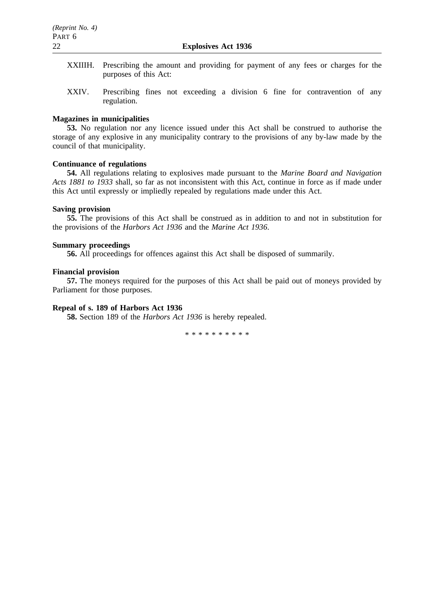- XXIIIH. Prescribing the amount and providing for payment of any fees or charges for the purposes of this Act:
- XXIV. Prescribing fines not exceeding a division 6 fine for contravention of any regulation.

# **Magazines in municipalities**

**53.** No regulation nor any licence issued under this Act shall be construed to authorise the storage of any explosive in any municipality contrary to the provisions of any by-law made by the council of that municipality.

# **Continuance of regulations**

**54.** All regulations relating to explosives made pursuant to the *Marine Board and Navigation Acts 1881 to 1933* shall, so far as not inconsistent with this Act, continue in force as if made under this Act until expressly or impliedly repealed by regulations made under this Act.

# **Saving provision**

**55.** The provisions of this Act shall be construed as in addition to and not in substitution for the provisions of the *Harbors Act 1936* and the *Marine Act 1936*.

# **Summary proceedings**

**56.** All proceedings for offences against this Act shall be disposed of summarily.

# **Financial provision**

**57.** The moneys required for the purposes of this Act shall be paid out of moneys provided by Parliament for those purposes.

# **Repeal of s. 189 of Harbors Act 1936**

**58.** Section 189 of the *Harbors Act 1936* is hereby repealed.

\*\*\*\*\*\*\*\*\*\*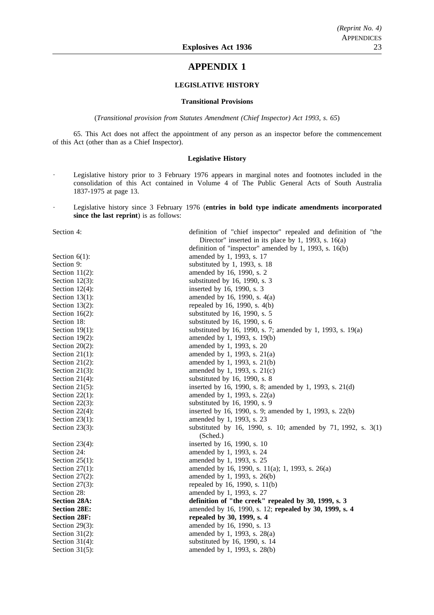# **APPENDIX 1**

### **LEGISLATIVE HISTORY**

#### **Transitional Provisions**

(*Transitional provision from Statutes Amendment (Chief Inspector) Act 1993, s. 65*)

65. This Act does not affect the appointment of any person as an inspector before the commencement of this Act (other than as a Chief Inspector).

#### **Legislative History**

- Legislative history prior to 3 February 1976 appears in marginal notes and footnotes included in the consolidation of this Act contained in Volume 4 of The Public General Acts of South Australia 1837-1975 at page 13.
- Legislative history since 3 February 1976 (**entries in bold type indicate amendments incorporated since the last reprint**) is as follows:

| Section 4:          | definition of "chief inspector" repealed and definition of "the<br>Director" inserted in its place by 1, 1993, s. $16(a)$ |  |
|---------------------|---------------------------------------------------------------------------------------------------------------------------|--|
|                     | definition of "inspector" amended by 1, 1993, s. 16(b)                                                                    |  |
| Section $6(1)$ :    | amended by 1, 1993, s. 17                                                                                                 |  |
| Section 9:          | substituted by 1, 1993, s. 18                                                                                             |  |
| Section $11(2)$ :   | amended by 16, 1990, s. 2                                                                                                 |  |
| Section $12(3)$ :   | substituted by 16, 1990, s. 3                                                                                             |  |
| Section $12(4)$ :   | inserted by 16, 1990, s. 3                                                                                                |  |
| Section $13(1)$ :   | amended by 16, 1990, s. $4(a)$                                                                                            |  |
| Section $13(2)$ :   | repealed by 16, 1990, s. 4(b)                                                                                             |  |
| Section $16(2)$ :   | substituted by 16, 1990, s. 5                                                                                             |  |
| Section 18:         | substituted by 16, 1990, s. 6                                                                                             |  |
| Section $19(1)$ :   | substituted by 16, 1990, s. 7; amended by 1, 1993, s. 19(a)                                                               |  |
| Section $19(2)$ :   | amended by 1, 1993, s. 19(b)                                                                                              |  |
| Section $20(2)$ :   | amended by 1, 1993, s. 20                                                                                                 |  |
| Section $21(1)$ :   | amended by 1, 1993, s. 21(a)                                                                                              |  |
| Section $21(2)$ :   | amended by 1, 1993, s. 21(b)                                                                                              |  |
| Section $21(3)$ :   | amended by 1, 1993, s. 21(c)                                                                                              |  |
| Section $21(4)$ :   | substituted by 16, 1990, s. 8                                                                                             |  |
| Section $21(5)$ :   | inserted by 16, 1990, s. 8; amended by 1, 1993, s. 21(d)                                                                  |  |
| Section $22(1)$ :   | amended by 1, 1993, s. 22(a)                                                                                              |  |
| Section $22(3)$ :   | substituted by 16, 1990, s. 9                                                                                             |  |
| Section $22(4)$ :   | inserted by 16, 1990, s. 9; amended by 1, 1993, s. 22(b)                                                                  |  |
| Section $23(1)$ :   | amended by 1, 1993, s. 23                                                                                                 |  |
| Section $23(3)$ :   | substituted by 16, 1990, s. 10; amended by 71, 1992, s. 3(1)<br>(Sched.)                                                  |  |
| Section $23(4)$ :   | inserted by 16, 1990, s. 10                                                                                               |  |
| Section 24:         | amended by 1, 1993, s. 24                                                                                                 |  |
| Section $25(1)$ :   | amended by 1, 1993, s. 25                                                                                                 |  |
| Section $27(1)$ :   | amended by 16, 1990, s. 11(a); 1, 1993, s. 26(a)                                                                          |  |
| Section $27(2)$ :   | amended by 1, 1993, s. 26(b)                                                                                              |  |
| Section $27(3)$ :   | repealed by 16, 1990, s. 11(b)                                                                                            |  |
| Section 28:         | amended by 1, 1993, s. 27                                                                                                 |  |
| <b>Section 28A:</b> | definition of "the creek" repealed by 30, 1999, s. 3                                                                      |  |
| <b>Section 28E:</b> | amended by 16, 1990, s. 12; repealed by 30, 1999, s. 4                                                                    |  |
| <b>Section 28F:</b> | repealed by 30, 1999, s. 4                                                                                                |  |
| Section $29(3)$ :   | amended by 16, 1990, s. 13                                                                                                |  |
| Section $31(2)$ :   | amended by 1, 1993, s. 28(a)                                                                                              |  |
| Section $31(4)$ :   | substituted by 16, 1990, s. 14                                                                                            |  |
| Section $31(5)$ :   | amended by 1, 1993, s. 28(b)                                                                                              |  |
|                     |                                                                                                                           |  |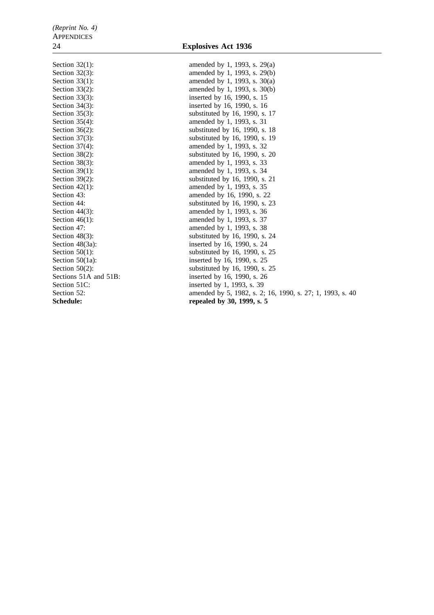Section 32(1): amended by 1, 1993, s. 29(a) Section 32(3): amended by 1, 1993, s. 29(b) Section 33(1): amended by 1, 1993, s.  $30(a)$ Section 33(2): amended by 1, 1993, s. 30(b) Section 33(3): inserted by 16, 1990, s. 15 Section 34(3): inserted by 16, 1990, s. 16 Section 35(3): substituted by 16, 1990, s. 17 Section 35(4): amended by 1, 1993, s. 31 Section 36(2): substituted by 16, 1990, s. 18 Section 37(3): substituted by 16, 1990, s. 19 Section 37(4): amended by 1, 1993, s. 32 Section 38(2): substituted by 16, 1990, s. 20 Section 38(3): amended by 1, 1993, s. 33 Section 39(1): amended by 1, 1993, s. 34 Section 39(2): substituted by 16, 1990, s. 21 Section 42(1): amended by 1, 1993, s. 35 Section 43: **amended** by 16, 1990, s. 22 Section 44: substituted by 16, 1990, s. 23<br>Section 44(3): substituted by 1, 1993, s. 36 Section 44(3): amended by 1, 1993, s. 36<br>Section 46(1): amended by 1, 1993, s. 37 Section 46(1): amended by 1, 1993, s. 37<br>Section 47: amended by 1, 1993, s. 38 Section 47: amended by 1, 1993, s. 38<br>Section 48(3): substituted by 16, 1990, s. Section 48(3):<br>Section 48(3a):<br>Section 48(3a):<br>Section 48(3a):<br>Section 48(3a):<br>Section 48(3a): inserted by 16, 1990, s. 24 Section  $50(1)$ : substituted by 16, 1990, s. 25 Section 50(1a): inserted by 16, 1990, s. 25 Section  $50(2)$ : substituted by 16, 1990, s. 25 Sections 51A and 51B: inserted by 16, 1990, s. 26 Section 51C: inserted by 1, 1993, s. 39 Section 52: **amended** by 5, 1982, s. 2; 16, 1990, s. 27; 1, 1993, s. 40 Schedule: repealed by 30, 1999, s. 5